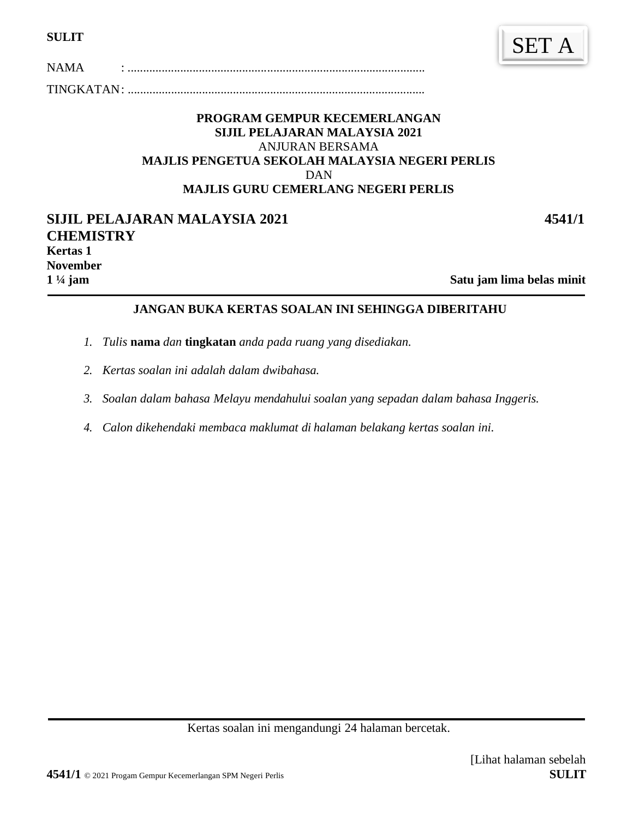| <b>SULIT</b> |  |
|--------------|--|
|              |  |

TINGKATAN: ................................................................................................

**4541/2** NAMA : ................................................................................................

#### **PROGRAM GEMPUR KECEMERLANGAN SIJIL PELAJARAN MALAYSIA 2021**  ANJURAN BERSAMA **MAJLIS PENGETUA SEKOLAH MALAYSIA NEGERI PERLIS**  DAN **MAJLIS GURU CEMERLANG NEGERI PERLIS**

| <b>SIJIL PELAJARAN MALAYSIA 2021</b> | 4541/1                    |
|--------------------------------------|---------------------------|
| <b>CHEMISTRY</b>                     |                           |
| <b>Kertas 1</b>                      |                           |
| <b>November</b>                      |                           |
| $1\frac{1}{4}$ jam                   | Satu jam lima belas minit |

#### Satu jam lima belas minit

# **JANGAN BUKA KERTAS SOALAN INI SEHINGGA DIBERITAHU**

- *1. Tulis* **nama** *dan* **tingkatan** *anda pada ruang yang disediakan.*
- *2. Kertas soalan ini adalah dalam dwibahasa.*
- *3. Soalan dalam bahasa Melayu mendahului soalan yang sepadan dalam bahasa Inggeris.*
- *4. Calon dikehendaki membaca maklumat di halaman belakang kertas soalan ini.*

Kertas soalan ini mengandungi 24 halaman bercetak.

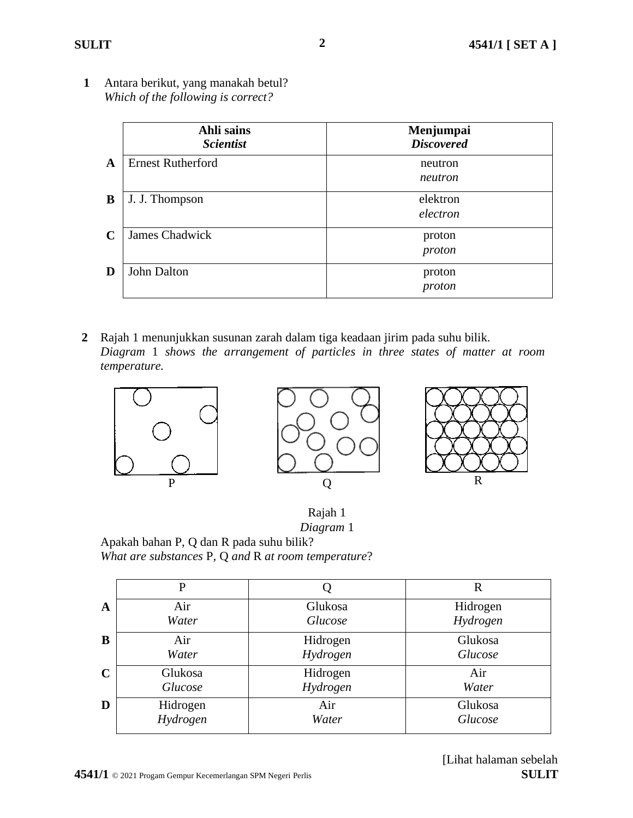**1** Antara berikut, yang manakah betul? *Which of the following is correct?*

|              | Ahli sains<br><b>Scientist</b> | Menjumpai<br><b>Discovered</b> |
|--------------|--------------------------------|--------------------------------|
| $\mathbf{A}$ | <b>Ernest Rutherford</b>       | neutron<br>neutron             |
| B            | J. J. Thompson                 | elektron<br>electron           |
| C            | <b>James Chadwick</b>          | proton<br>proton               |
| D            | John Dalton                    | proton<br>proton               |

**2** Rajah 1 menunjukkan susunan zarah dalam tiga keadaan jirim pada suhu bilik. *Diagram* 1 *shows the arrangement of particles in three states of matter at room temperature.*





Rajah 1 *Diagram* 1

Apakah bahan P, Q dan R pada suhu bilik? *What are substances* P*,* Q *and* R *at room temperature*?

|              | P        |          | R        |
|--------------|----------|----------|----------|
| $\mathbf{A}$ | Air      | Glukosa  | Hidrogen |
|              | Water    | Glucose  | Hydrogen |
| B            | Air      | Hidrogen | Glukosa  |
|              | Water    | Hydrogen | Glucose  |
| $\mathbf C$  | Glukosa  | Hidrogen | Air      |
|              | Glucose  | Hydrogen | Water    |
| D            | Hidrogen | Air      | Glukosa  |
|              | Hydrogen | Water    | Glucose  |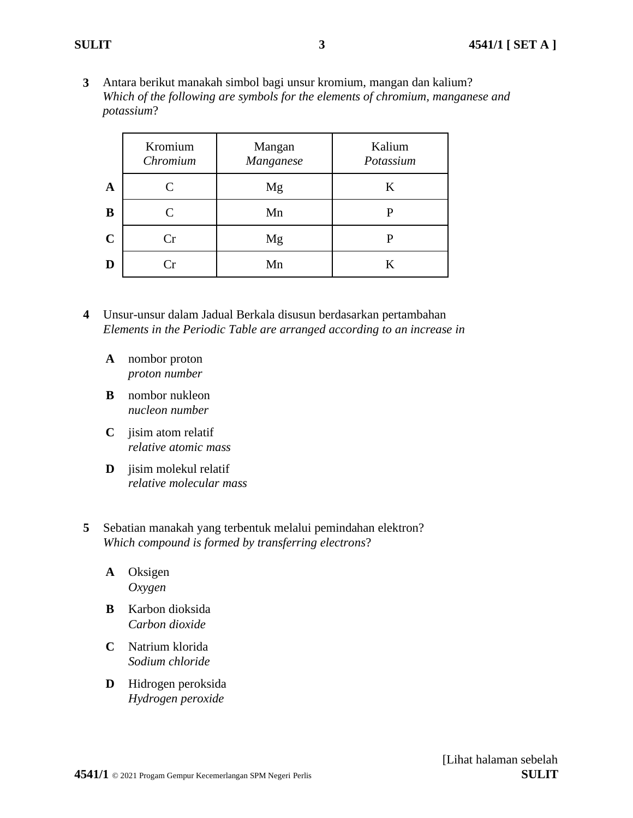**3** Antara berikut manakah simbol bagi unsur kromium, mangan dan kalium? *Which of the following are symbols for the elements of chromium, manganese and potassium*?

|             | Kromium<br>Chromium | Mangan<br>Manganese | Kalium<br>Potassium |
|-------------|---------------------|---------------------|---------------------|
| $\mathbf A$ | C                   | Mg                  | K                   |
| B           | C                   | Mn                  |                     |
| $\mathbf C$ | Cr                  | Mg                  | P                   |
| D           | $\mathbf{r}$        | Mn                  | K                   |

- **4** Unsur-unsur dalam Jadual Berkala disusun berdasarkan pertambahan *Elements in the Periodic Table are arranged according to an increase in*
	- **A** nombor proton *proton number*
	- **B** nombor nukleon *nucleon number*
	- **C** jisim atom relatif *relative atomic mass*
	- **D** jisim molekul relatif *relative molecular mass*
- **5** Sebatian manakah yang terbentuk melalui pemindahan elektron? *Which compound is formed by transferring electrons*?
	- **A** Oksigen *Oxygen*
	- **B** Karbon dioksida *Carbon dioxide*
	- **C** Natrium klorida *Sodium chloride*
	- **D** Hidrogen peroksida *Hydrogen peroxide*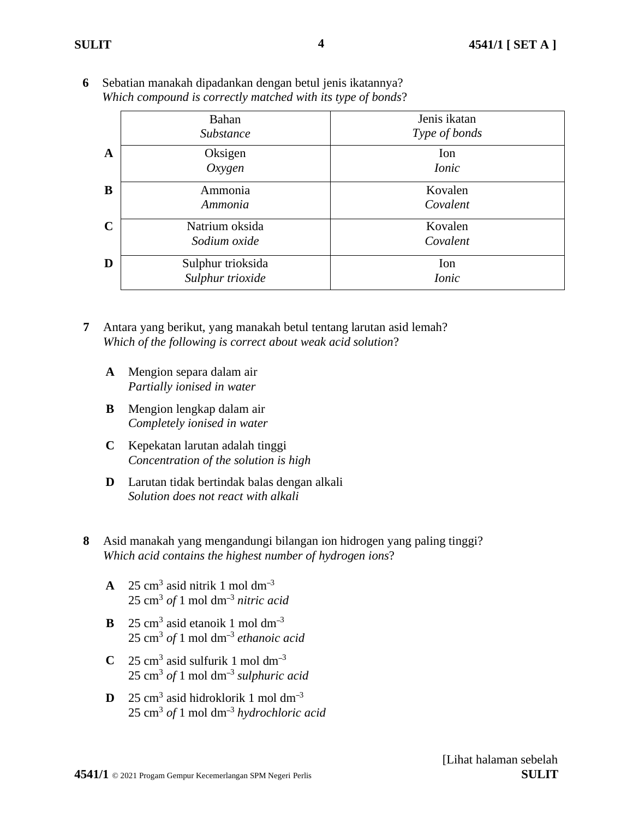|              | Bahan<br><b>Substance</b>             | Jenis ikatan<br>Type of bonds |
|--------------|---------------------------------------|-------------------------------|
| $\mathbf{A}$ | Oksigen<br>Oxygen                     | Ion<br><i>Ionic</i>           |
| B            | Ammonia<br>Ammonia                    | Kovalen<br>Covalent           |
| $\mathbf C$  | Natrium oksida<br>Sodium oxide        | Kovalen<br>Covalent           |
| D            | Sulphur trioksida<br>Sulphur trioxide | Ion<br><i>Ionic</i>           |

**6** Sebatian manakah dipadankan dengan betul jenis ikatannya? *Which compound is correctly matched with its type of bonds*?

**7** Antara yang berikut, yang manakah betul tentang larutan asid lemah? *Which of the following is correct about weak acid solution*?

- **A** Mengion separa dalam air *Partially ionised in water*
- **B** Mengion lengkap dalam air *Completely ionised in water*
- **C** Kepekatan larutan adalah tinggi *Concentration of the solution is high*
- **D** Larutan tidak bertindak balas dengan alkali *Solution does not react with alkali*
- **8** Asid manakah yang mengandungi bilangan ion hidrogen yang paling tinggi? *Which acid contains the highest number of hydrogen ions*?
	- **A** 25 cm<sup>3</sup> asid nitrik 1 mol dm<sup>-3</sup> 25 cm<sup>3</sup> *of* 1 mol dm–<sup>3</sup> *nitric acid*
	- **B**  $25 \text{ cm}^3$  asid etanoik 1 mol dm<sup>-3</sup> 25 cm<sup>3</sup> *of* 1 mol dm–<sup>3</sup> *ethanoic acid*
	- **C** 25 cm<sup>3</sup> asid sulfurik 1 mol dm<sup>-3</sup> 25 cm<sup>3</sup> *of* 1 mol dm–<sup>3</sup> *sulphuric acid*
	- **D** 25 cm<sup>3</sup> asid hidroklorik 1 mol dm<sup>-3</sup> 25 cm<sup>3</sup> *of* 1 mol dm–<sup>3</sup> *hydrochloric acid*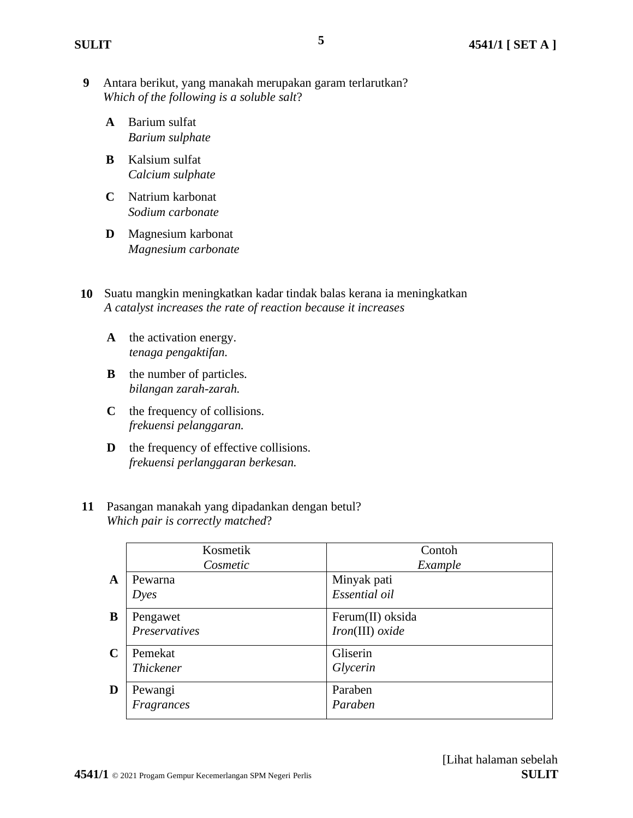**9** Antara berikut, yang manakah merupakan garam terlarutkan? *Which of the following is a soluble salt*?

**5**

- **A** Barium sulfat *Barium sulphate*
- **B** Kalsium sulfat *Calcium sulphate*
- **C** Natrium karbonat *Sodium carbonate*
- **D** Magnesium karbonat *Magnesium carbonate*
- **10** Suatu mangkin meningkatkan kadar tindak balas kerana ia meningkatkan *A catalyst increases the rate of reaction because it increases*
	- **A** the activation energy. *tenaga pengaktifan.*
	- **B** the number of particles. *bilangan zarah-zarah.*
	- **C** the frequency of collisions. *frekuensi pelanggaran.*
	- **D** the frequency of effective collisions. *frekuensi perlanggaran berkesan.*
- **11** Pasangan manakah yang dipadankan dengan betul? *Which pair is correctly matched*?

|             | Kosmetik         | Contoh           |
|-------------|------------------|------------------|
|             | Cosmetic         | Example          |
| A           | Pewarna          | Minyak pati      |
|             | D <sub>yes</sub> | Essential oil    |
| B           | Pengawet         | Ferum(II) oksida |
|             | Preservatives    | Iron(III) oxide  |
| $\mathbf C$ | Pemekat          | Gliserin         |
|             | <b>Thickener</b> | Glycerin         |
| D           | Pewangi          | Paraben          |
|             | Fragrances       | Paraben          |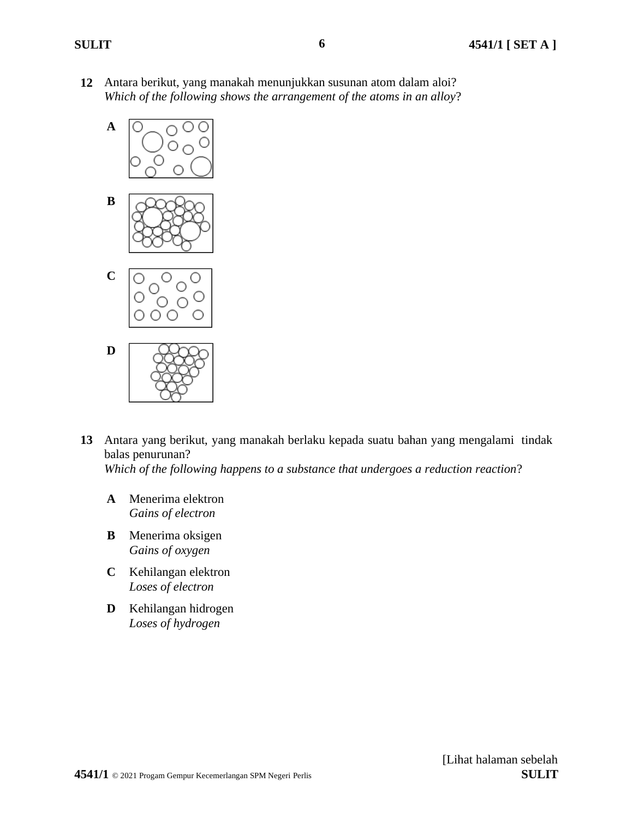**12** Antara berikut, yang manakah menunjukkan susunan atom dalam aloi? *Which of the following shows the arrangement of the atoms in an alloy*?



- **13** Antara yang berikut, yang manakah berlaku kepada suatu bahan yang mengalami tindak balas penurunan? *Which of the following happens to a substance that undergoes a reduction reaction*?
	- **A** Menerima elektron *Gains of electron*
	- **B** Menerima oksigen *Gains of oxygen*
	- **C** Kehilangan elektron *Loses of electron*
	- **D** Kehilangan hidrogen *Loses of hydrogen*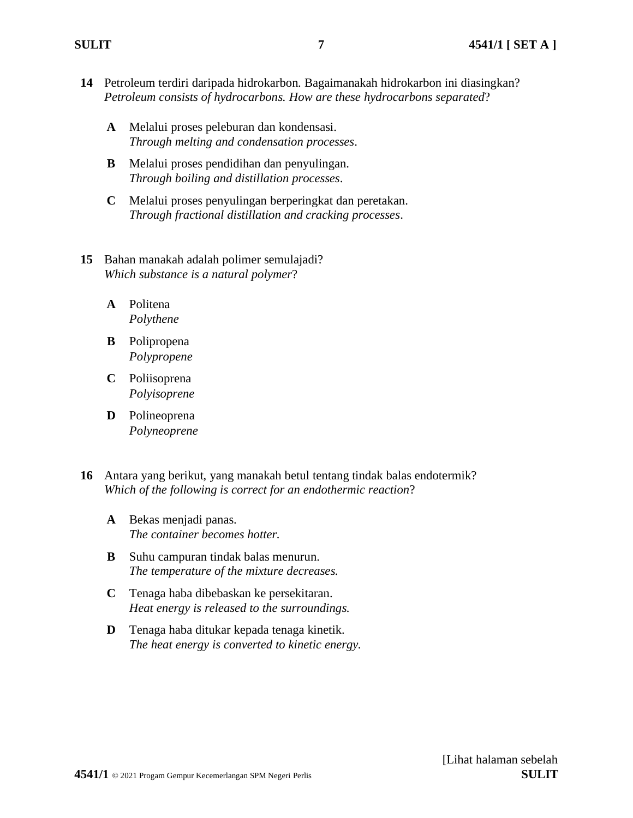- **14** Petroleum terdiri daripada hidrokarbon. Bagaimanakah hidrokarbon ini diasingkan? *Petroleum consists of hydrocarbons. How are these hydrocarbons separated*?
	- **A** Melalui proses peleburan dan kondensasi. *Through melting and condensation processes*.
	- **B** Melalui proses pendidihan dan penyulingan. *Through boiling and distillation processes*.
	- **C** Melalui proses penyulingan berperingkat dan peretakan. *Through fractional distillation and cracking processes*.
- **15** Bahan manakah adalah polimer semulajadi? *Which substance is a natural polymer*?
	- **A** Politena *Polythene*
	- **B** Polipropena *Polypropene*
	- **C** Poliisoprena *Polyisoprene*
	- **D** Polineoprena *Polyneoprene*
- **16** Antara yang berikut, yang manakah betul tentang tindak balas endotermik? *Which of the following is correct for an endothermic reaction*?
	- **A** Bekas menjadi panas. *The container becomes hotter.*
	- **B** Suhu campuran tindak balas menurun. *The temperature of the mixture decreases.*
	- **C** Tenaga haba dibebaskan ke persekitaran. *Heat energy is released to the surroundings.*
	- **D** Tenaga haba ditukar kepada tenaga kinetik. *The heat energy is converted to kinetic energy.*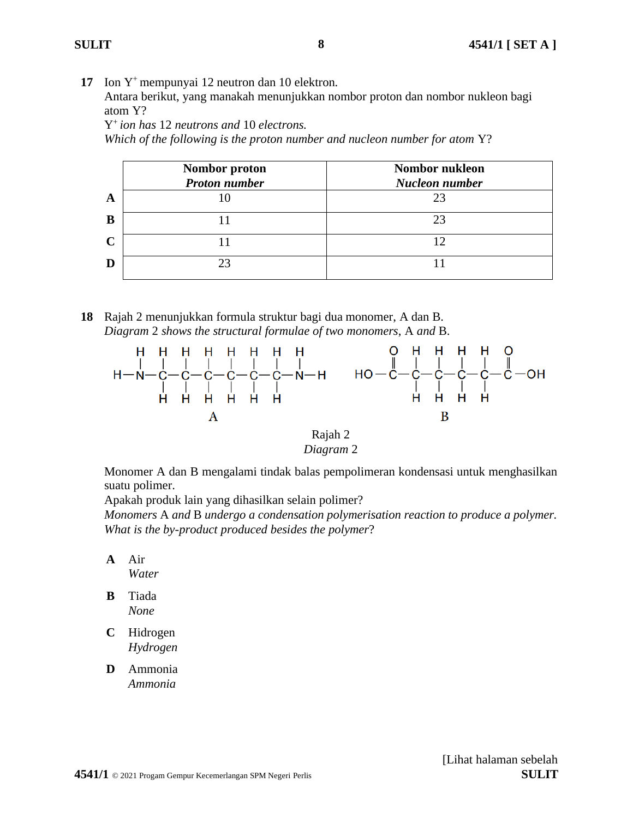**17** Ion Y<sup>+</sup> mempunyai 12 neutron dan 10 elektron.

Antara berikut, yang manakah menunjukkan nombor proton dan nombor nukleon bagi atom Y?

Y <sup>+</sup>*ion has* 12 *neutrons and* 10 *electrons.*

*Which of the following is the proton number and nucleon number for atom* Y?

|             | Nombor proton<br><b>Proton number</b> | <b>Nombor nukleon</b><br><b>Nucleon number</b> |
|-------------|---------------------------------------|------------------------------------------------|
| A           |                                       | 23                                             |
| B           |                                       |                                                |
| $\mathbf C$ |                                       | 12                                             |
| D           |                                       |                                                |

**18** Rajah 2 menunjukkan formula struktur bagi dua monomer, A dan B. *Diagram* 2 *shows the structural formulae of two monomers*, A *and* B.



Rajah 2 *Diagram* 2

Monomer A dan B mengalami tindak balas pempolimeran kondensasi untuk menghasilkan suatu polimer.

Apakah produk lain yang dihasilkan selain polimer?

*Monomers* A *and* B *undergo a condensation polymerisation reaction to produce a polymer. What is the by-product produced besides the polymer*?

- **A** Air *Water*
- **B** Tiada *None*
- **C** Hidrogen *Hydrogen*
- **D** Ammonia *Ammonia*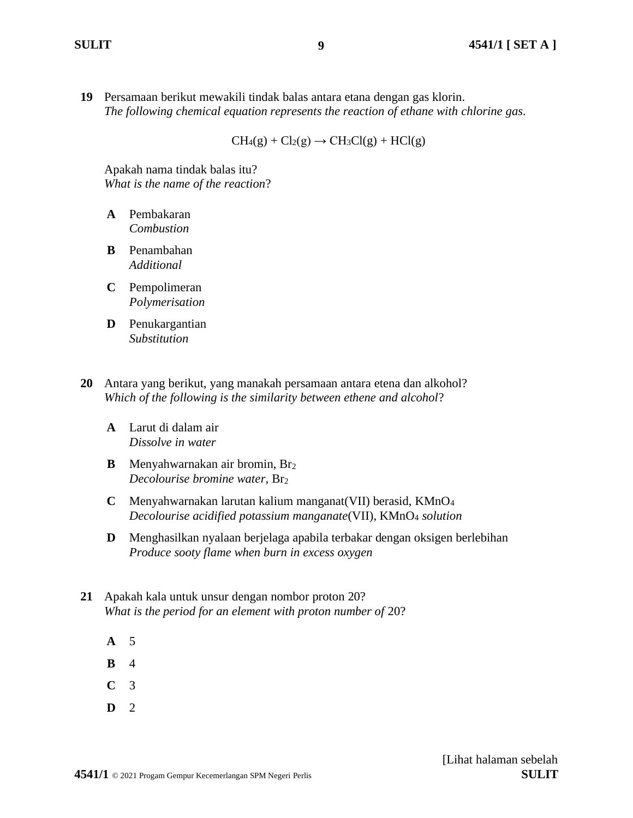**19** Persamaan berikut mewakili tindak balas antara etana dengan gas klorin. *The following chemical equation represents the reaction of ethane with chlorine gas*.

 $CH<sub>4</sub>(g) + Cl<sub>2</sub>(g) \rightarrow CH<sub>3</sub>Cl(g) + HCl(g)$ 

Apakah nama tindak balas itu? *What is the name of the reaction*?

- **A** Pembakaran *Combustion*
- **B** Penambahan *Additional*
- **C** Pempolimeran *Polymerisation*
- **D** Penukargantian *Substitution*
- **20** Antara yang berikut, yang manakah persamaan antara etena dan alkohol? *Which of the following is the similarity between ethene and alcohol*?
	- **A** Larut di dalam air *Dissolve in water*
	- **B** Menyahwarnakan air bromin, Br<sup>2</sup> *Decolourise bromine water*, Br<sup>2</sup>
	- **C** Menyahwarnakan larutan kalium manganat(VII) berasid, KMnO<sup>4</sup> *Decolourise acidified potassium manganate*(VII), KMnO<sup>4</sup> *solution*
	- **D** Menghasilkan nyalaan berjelaga apabila terbakar dengan oksigen berlebihan *Produce sooty flame when burn in excess oxygen*
- **21** Apakah kala untuk unsur dengan nombor proton 20? *What is the period for an element with proton number of* 20?
	- **A** 5
	- **B** 4
	- **C** 3
	- **D** 2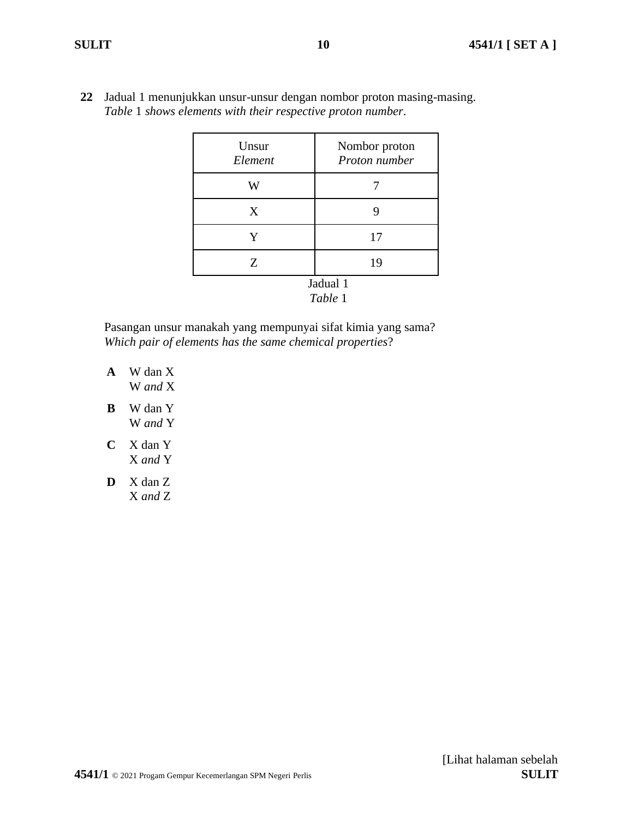**22** Jadual 1 menunjukkan unsur-unsur dengan nombor proton masing-masing. *Table* 1 *shows elements with their respective proton number*.

| Unsur<br>Element | Nombor proton<br>Proton number |
|------------------|--------------------------------|
| W                |                                |
| X                | 9                              |
| Y                | 17                             |
| Z                | 19                             |
|                  | Jadual 1<br>Table 1            |

Pasangan unsur manakah yang mempunyai sifat kimia yang sama? *Which pair of elements has the same chemical properties*?

- **A** W dan X W *and* X
- **B** W dan Y W *and* Y
- **C** X dan Y X *and* Y
- **D** X dan Z X *and* Z

**4541/1** © 2021 Progam Gempur Kecemerlangan SPM Negeri Perlis **SULIT**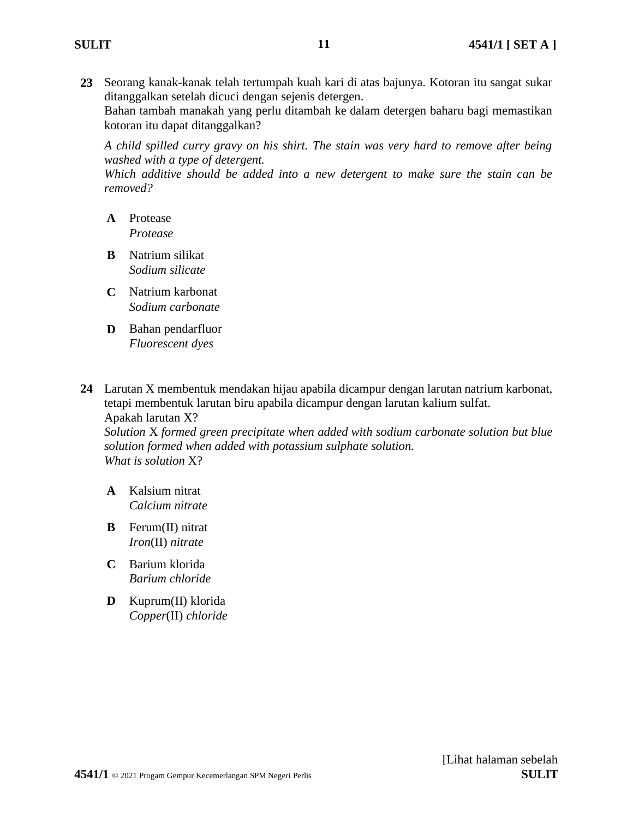**23** Seorang kanak-kanak telah tertumpah kuah kari di atas bajunya. Kotoran itu sangat sukar ditanggalkan setelah dicuci dengan sejenis detergen. Bahan tambah manakah yang perlu ditambah ke dalam detergen baharu bagi memastikan kotoran itu dapat ditanggalkan?

*A child spilled curry gravy on his shirt. The stain was very hard to remove after being washed with a type of detergent.*

*Which additive should be added into a new detergent to make sure the stain can be removed?*

- **A** Protease *Protease*
- **B** Natrium silikat *Sodium silicate*
- **C** Natrium karbonat *Sodium carbonate*
- **D** Bahan pendarfluor *Fluorescent dyes*
- **24** Larutan X membentuk mendakan hijau apabila dicampur dengan larutan natrium karbonat, tetapi membentuk larutan biru apabila dicampur dengan larutan kalium sulfat. Apakah larutan X?

*Solution* X *formed green precipitate when added with sodium carbonate solution but blue solution formed when added with potassium sulphate solution. What is solution* X?

- **A** Kalsium nitrat *Calcium nitrate*
- **B** Ferum(II) nitrat *Iron*(II) *nitrate*
- **C** Barium klorida *Barium chloride*
- **D** Kuprum(II) klorida *Copper*(II) *chloride*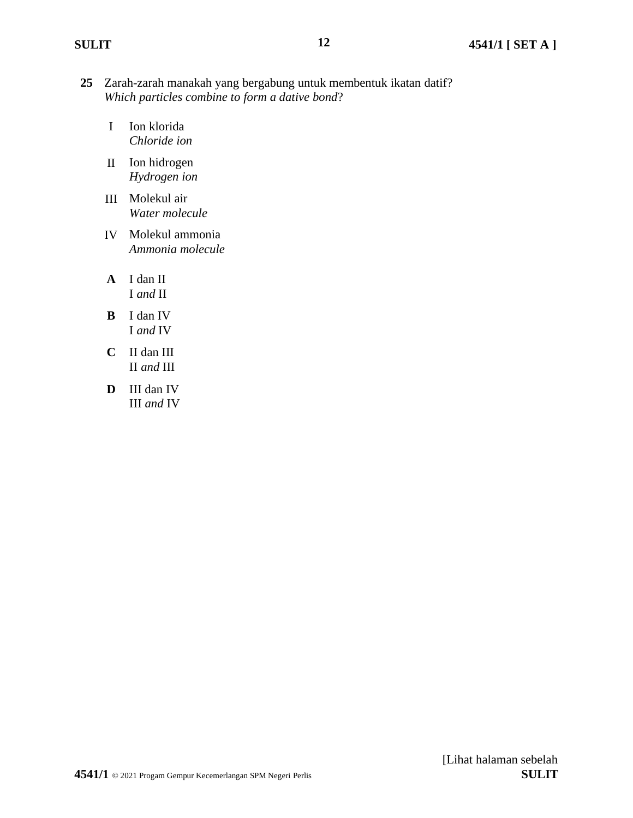- **25** Zarah-zarah manakah yang bergabung untuk membentuk ikatan datif? *Which particles combine to form a dative bond*?
	- I Ion klorida *Chloride ion*
	- II Ion hidrogen *Hydrogen ion*
	- III Molekul air *Water molecule*
	- IV Molekul ammonia *Ammonia molecule*
	- **A** I dan II I *and* II
	- **B** I dan IV I *and* IV
	- **C** II dan III II *and* III
	- **D** III dan IV III *and* IV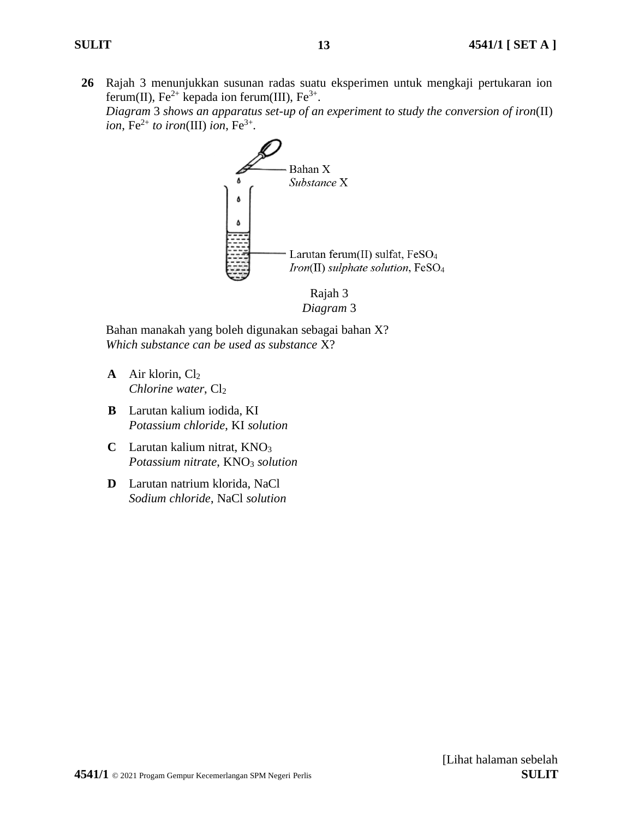**26** Rajah 3 menunjukkan susunan radas suatu eksperimen untuk mengkaji pertukaran ion ferum(II),  $Fe^{2+}$  kepada ion ferum(III),  $Fe^{3+}$ .

*Diagram* 3 *shows an apparatus set-up of an experiment to study the conversion of iron*(II)  $ion, Fe^{2+}$  to iron(III) ion,  $Fe^{3+}$ .



*Diagram* 3

Bahan manakah yang boleh digunakan sebagai bahan X? *Which substance can be used as substance* X?

- **A** Air klorin, Cl<sub>2</sub> *Chlorine water*, Cl<sub>2</sub>
- **B** Larutan kalium iodida, KI *Potassium chloride*, KI *solution*
- **C** Larutan kalium nitrat, KNO<sup>3</sup> *Potassium nitrate*, KNO<sup>3</sup> *solution*
- **D** Larutan natrium klorida, NaCl *Sodium chloride*, NaCl *solution*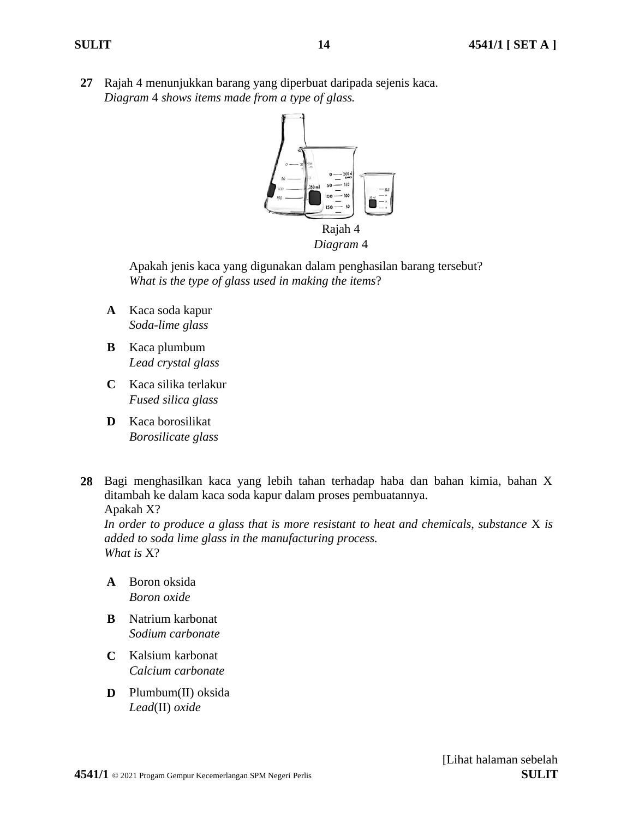**27** Rajah 4 menunjukkan barang yang diperbuat daripada sejenis kaca. *Diagram* 4 *shows items made from a type of glass.*



**14**

Apakah jenis kaca yang digunakan dalam penghasilan barang tersebut? *What is the type of glass used in making the items*?

- **A** Kaca soda kapur *Soda-lime glass*
- **B** Kaca plumbum *Lead crystal glass*
- **C** Kaca silika terlakur *Fused silica glass*
- **D** Kaca borosilikat *Borosilicate glass*
- **28** Bagi menghasilkan kaca yang lebih tahan terhadap haba dan bahan kimia, bahan X ditambah ke dalam kaca soda kapur dalam proses pembuatannya. Apakah X?

*In order to produce a glass that is more resistant to heat and chemicals, substance* X *is added to soda lime glass in the manufacturing process. What is* X?

- **A** Boron oksida *Boron oxide*
- **B** Natrium karbonat *Sodium carbonate*
- **C** Kalsium karbonat *Calcium carbonate*
- **D** Plumbum(II) oksida *Lead*(II) *oxide*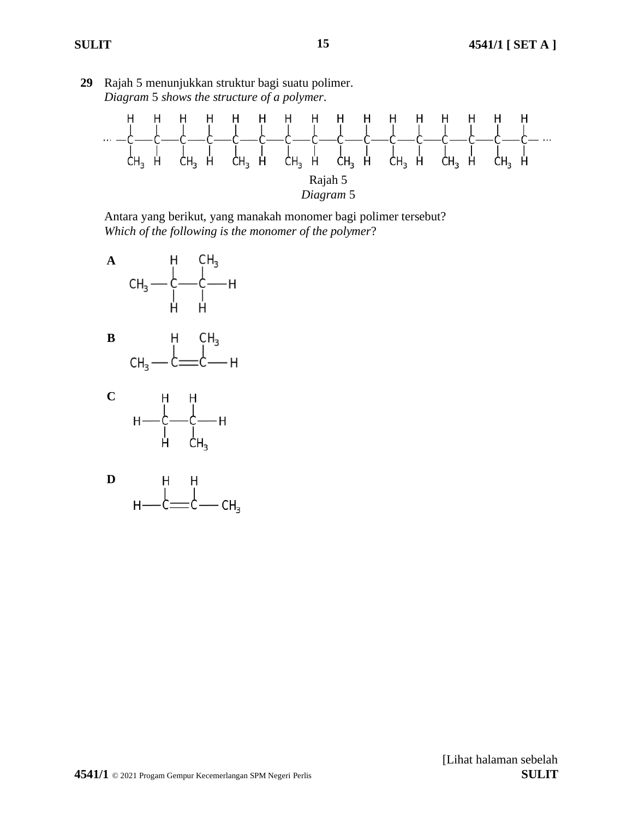

**29** Rajah 5 menunjukkan struktur bagi suatu polimer.





 $H -$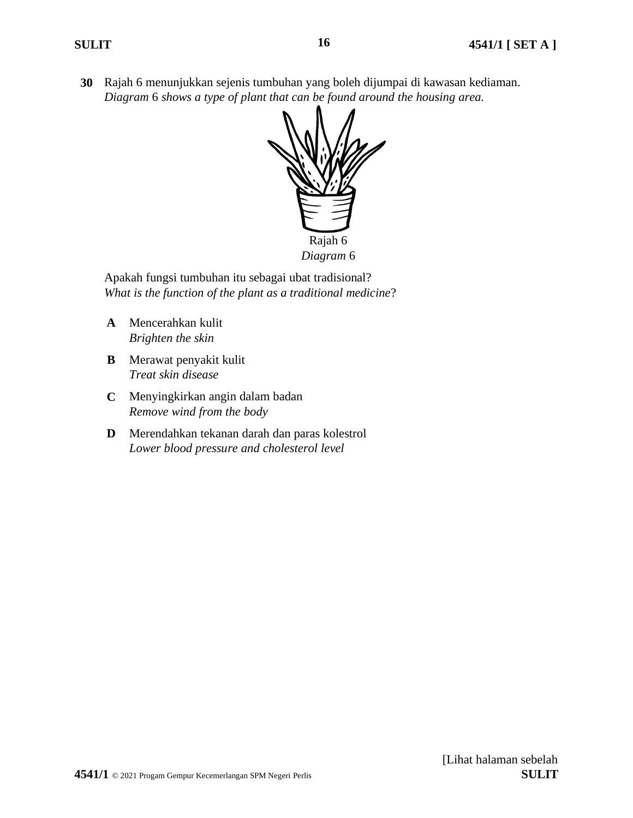**30** Rajah 6 menunjukkan sejenis tumbuhan yang boleh dijumpai di kawasan kediaman. *Diagram* 6 *shows a type of plant that can be found around the housing area.*



Apakah fungsi tumbuhan itu sebagai ubat tradisional? *What is the function of the plant as a traditional medicine*?

- **A** Mencerahkan kulit *Brighten the skin*
- **B** Merawat penyakit kulit *Treat skin disease*
- **C** Menyingkirkan angin dalam badan *Remove wind from the body*
- **D** Merendahkan tekanan darah dan paras kolestrol *Lower blood pressure and cholesterol level*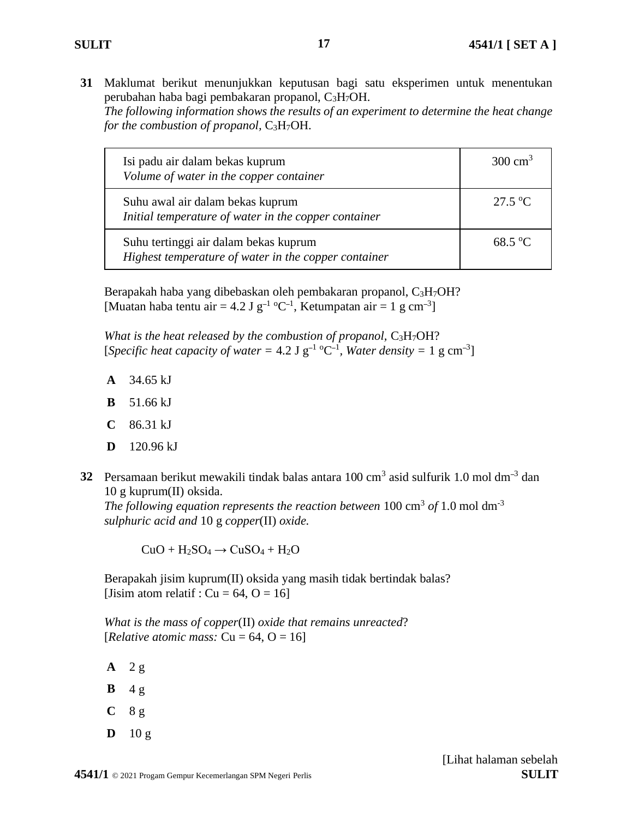**31** Maklumat berikut menunjukkan keputusan bagi satu eksperimen untuk menentukan perubahan haba bagi pembakaran propanol, C3H7OH. *The following information shows the results of an experiment to determine the heat change for the combustion of propanol,* C<sub>3</sub>H<sub>7</sub>OH.

**17**

| Isi padu air dalam bekas kuprum<br>Volume of water in the copper container                    | 300 cm <sup>3</sup> |
|-----------------------------------------------------------------------------------------------|---------------------|
| Suhu awal air dalam bekas kuprum<br>Initial temperature of water in the copper container      | 27.5 °C             |
| Suhu tertinggi air dalam bekas kuprum<br>Highest temperature of water in the copper container | $68.5 \text{ °C}$   |

Berapakah haba yang dibebaskan oleh pembakaran propanol, C3H7OH? [Muatan haba tentu air = 4.2 J  $g^{-1}$  °C<sup>-1</sup>, Ketumpatan air = 1 g cm<sup>-3</sup>]

*What is the heat released by the combustion of propanol, C<sub>3</sub>H<sub>7</sub>OH?* [*Specific heat capacity of water* = 4.2 J  $g^{-1}$  <sup>o</sup>C<sup>-1</sup>, *Water density* = 1 g cm<sup>-3</sup>]

- **A** 34.65 kJ
- **B** 51.66 kJ
- **C** 86.31 kJ
- **D** 120.96 kJ
- **32** Persamaan berikut mewakili tindak balas antara 100 cm<sup>3</sup> asid sulfurik 1.0 mol dm<sup>-3</sup> dan 10 g kuprum(II) oksida.

The following equation represents the reaction between  $100 \text{ cm}^3$  of  $1.0 \text{ mol dm}^3$ *sulphuric acid and* 10 g *copper*(II) *oxide.*

 $CuO + H_2SO_4 \rightarrow CuSO_4 + H_2O$ 

Berapakah jisim kuprum(II) oksida yang masih tidak bertindak balas? [Jisim atom relatif :  $Cu = 64$ ,  $O = 16$ ]

*What is the mass of copper*(II) *oxide that remains unreacted*? [*Relative atomic mass:*  $Cu = 64$ ,  $O = 16$ ]

**A** 2 g  $\mathbf{B}$  4 g

- **C** 8 g
- **D** 10 g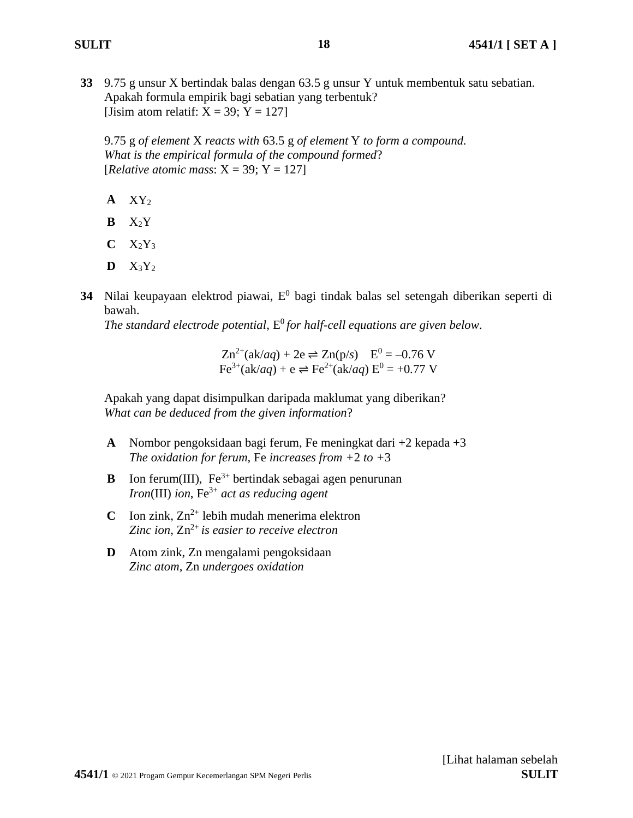**33** 9.75 g unsur X bertindak balas dengan 63.5 g unsur Y untuk membentuk satu sebatian. Apakah formula empirik bagi sebatian yang terbentuk? [Jisim atom relatif:  $X = 39$ ;  $Y = 127$ ]

9.75 g *of element* X *reacts with* 63.5 g *of element* Y *to form a compound. What is the empirical formula of the compound formed*? [*Relative atomic mass*:  $X = 39$ ;  $Y = 127$ ]

- **A** XY<sup>2</sup>
- **B** X2Y
- $C$   $X_2Y_3$
- $\mathbf{D} \quad X_3 Y_2$
- 34 Nilai keupayaan elektrod piawai, E<sup>0</sup> bagi tindak balas sel setengah diberikan seperti di bawah.

*The standard electrode potential*,  $E^0$  *for half-cell equations are given below.* 

 $Zn^{2+}(ak/aq) + 2e \rightleftharpoons Zn(p/s)$   $E^0 = -0.76$  V  $Fe^{3+}(ak/aq) + e \rightleftharpoons Fe^{2+}(ak/aq) E^{0} = +0.77 V$ 

Apakah yang dapat disimpulkan daripada maklumat yang diberikan? *What can be deduced from the given information*?

- **A** Nombor pengoksidaan bagi ferum, Fe meningkat dari +2 kepada +3 *The oxidation for ferum, Fe increases from*  $+2$  *to*  $+3$
- **B** Ion ferum(III),  $Fe^{3+}$  bertindak sebagai agen penurunan *Iron*(III) *ion*, Fe3+ *act as reducing agent*
- **C** Ion zink,  $Zn^{2+}$  lebih mudah menerima elektron *Zinc ion, Zn*<sup>2+</sup> *is easier to receive electron*
- **D** Atom zink, Zn mengalami pengoksidaan *Zinc atom*, Zn *undergoes oxidation*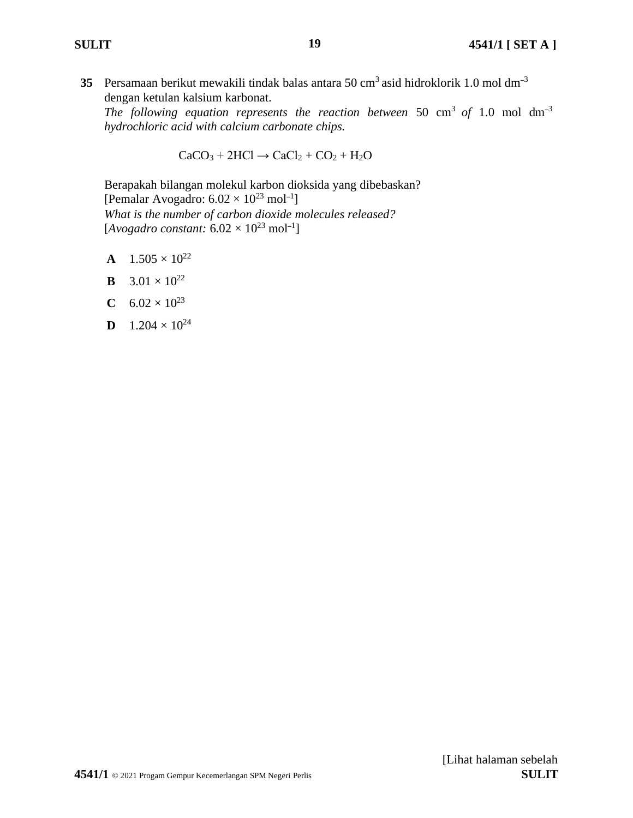**35** Persamaan berikut mewakili tindak balas antara 50 cm<sup>3</sup> asid hidroklorik 1.0 mol dm<sup>-3</sup> dengan ketulan kalsium karbonat.

The following equation represents the reaction between  $50 \text{ cm}^3$  of  $1.0 \text{ mol dm}^{-3}$ *hydrochloric acid with calcium carbonate chips.*

 $CaCO<sub>3</sub> + 2HCl \rightarrow CaCl<sub>2</sub> + CO<sub>2</sub> + H<sub>2</sub>O$ 

Berapakah bilangan molekul karbon dioksida yang dibebaskan? [Pemalar Avogadro:  $6.02 \times 10^{23}$  mol<sup>-1</sup>] *What is the number of carbon dioxide molecules released?* [ $Avogadro constant: 6.02 \times 10^{23}$  mol<sup>-1</sup>]

- **A**  $1.505 \times 10^{22}$
- **B**  $3.01 \times 10^{22}$
- **C**  $6.02 \times 10^{23}$
- **D**  $1.204 \times 10^{24}$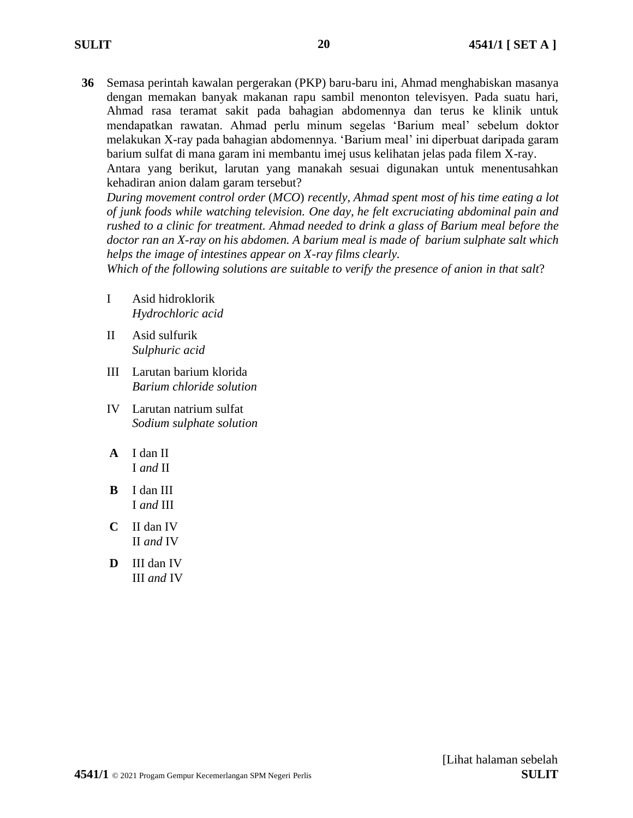**36** Semasa perintah kawalan pergerakan (PKP) baru-baru ini, Ahmad menghabiskan masanya dengan memakan banyak makanan rapu sambil menonton televisyen. Pada suatu hari, Ahmad rasa teramat sakit pada bahagian abdomennya dan terus ke klinik untuk mendapatkan rawatan. Ahmad perlu minum segelas 'Barium meal' sebelum doktor melakukan X-ray pada bahagian abdomennya. 'Barium meal' ini diperbuat daripada garam barium sulfat di mana garam ini membantu imej usus kelihatan jelas pada filem X-ray.

**20**

Antara yang berikut, larutan yang manakah sesuai digunakan untuk menentusahkan kehadiran anion dalam garam tersebut?

*During movement control order* (*MCO*) *recently, Ahmad spent most of his time eating a lot of junk foods while watching television. One day, he felt excruciating abdominal pain and rushed to a clinic for treatment. Ahmad needed to drink a glass of Barium meal before the doctor ran an X-ray on his abdomen. A barium meal is made of barium sulphate salt which helps the image of intestines appear on X-ray films clearly.* 

*Which of the following solutions are suitable to verify the presence of anion in that salt*?

- I Asid hidroklorik *Hydrochloric acid*
- II Asid sulfurik *Sulphuric acid*
- III Larutan barium klorida *Barium chloride solution*
- IV Larutan natrium sulfat *Sodium sulphate solution*
- **A** I dan II I *and* II
- **B** I dan III I *and* III
- **C** II dan IV II *and* IV
- **D** III dan IV III *and* IV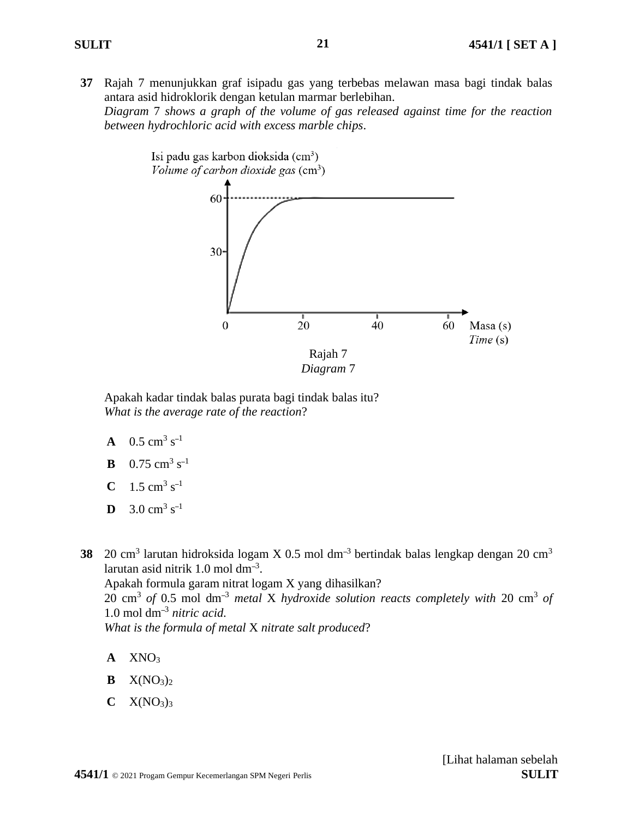**37** Rajah 7 menunjukkan graf isipadu gas yang terbebas melawan masa bagi tindak balas antara asid hidroklorik dengan ketulan marmar berlebihan.

*Diagram* 7 *shows a graph of the volume of gas released against time for the reaction between hydrochloric acid with excess marble chips*.



Apakah kadar tindak balas purata bagi tindak balas itu? *What is the average rate of the reaction*?

- **A**  $0.5 \text{ cm}^3 \text{ s}^{-1}$
- **B**  $0.75 \text{ cm}^3 \text{ s}^{-1}$
- **C**  $1.5 \text{ cm}^3 \text{ s}^{-1}$
- **D** 3.0 cm<sup>3</sup> s<sup>-1</sup>

38 20 cm<sup>3</sup> larutan hidroksida logam X 0.5 mol dm<sup>-3</sup> bertindak balas lengkap dengan 20 cm<sup>3</sup> larutan asid nitrik 1.0 mol dm–<sup>3</sup> . Apakah formula garam nitrat logam X yang dihasilkan? 20 cm<sup>3</sup> *of* 0.5 mol dm–<sup>3</sup> *metal* X *hydroxide solution reacts completely with* 20 cm<sup>3</sup> *of*  1.0 mol dm–<sup>3</sup> *nitric acid*. *What is the formula of metal* X *nitrate salt produced*?

- **A** XNO<sup>3</sup>
- $\mathbf{B} \quad X(NO_3)_2$
- $C$   $X(NO<sub>3</sub>)<sub>3</sub>$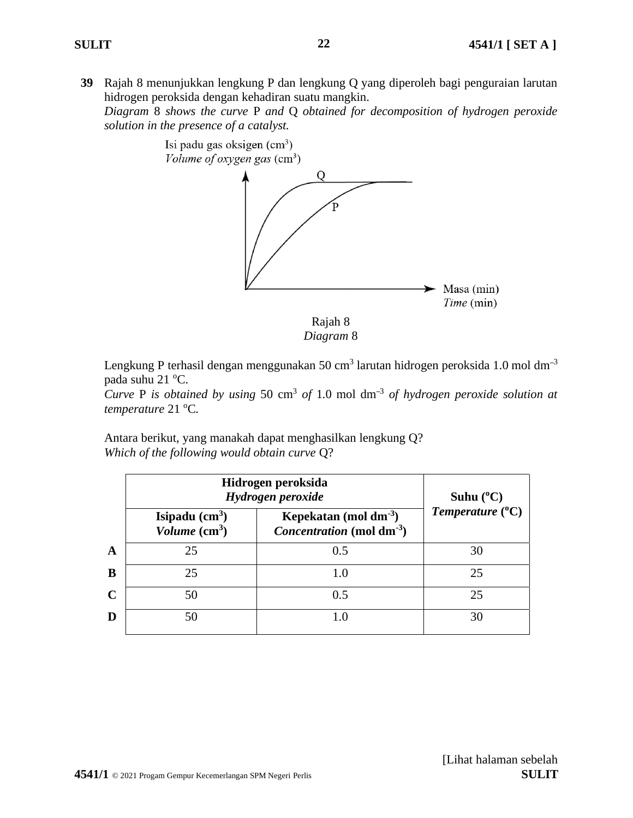**39** Rajah 8 menunjukkan lengkung P dan lengkung Q yang diperoleh bagi penguraian larutan hidrogen peroksida dengan kehadiran suatu mangkin.

*Diagram* 8 *shows the curve* P *and* Q *obtained for decomposition of hydrogen peroxide solution in the presence of a catalyst.*



Lengkung P terhasil dengan menggunakan 50 cm<sup>3</sup> larutan hidrogen peroksida 1.0 mol dm<sup>-3</sup> pada suhu 21 °C.

*Curve* P is obtained by using 50 cm<sup>3</sup> of 1.0 mol  $dm^{-3}$  of hydrogen peroxide solution at *temperature* 21 °C.

Antara berikut, yang manakah dapat menghasilkan lengkung Q? *Which of the following would obtain curve* Q?

|             | Hidrogen peroksida<br>Hydrogen peroxide |                                                                             | Suhu $(^{\circ}C)$          |  |
|-------------|-----------------------------------------|-----------------------------------------------------------------------------|-----------------------------|--|
|             | Isipadu $(cm3)$<br>Volume $(cm^3)$      | Kepekatan (mol dm $^{-3}$ )<br><i>Concentration</i> (mol dm <sup>-3</sup> ) | Temperature $({}^{\circ}C)$ |  |
| $\mathbf A$ | 25                                      | 0.5                                                                         | 30                          |  |
| B           | 25                                      |                                                                             | 25                          |  |
| $\mathbf C$ | 50                                      | 0.5                                                                         | 25                          |  |
| D           | 50                                      |                                                                             | 30                          |  |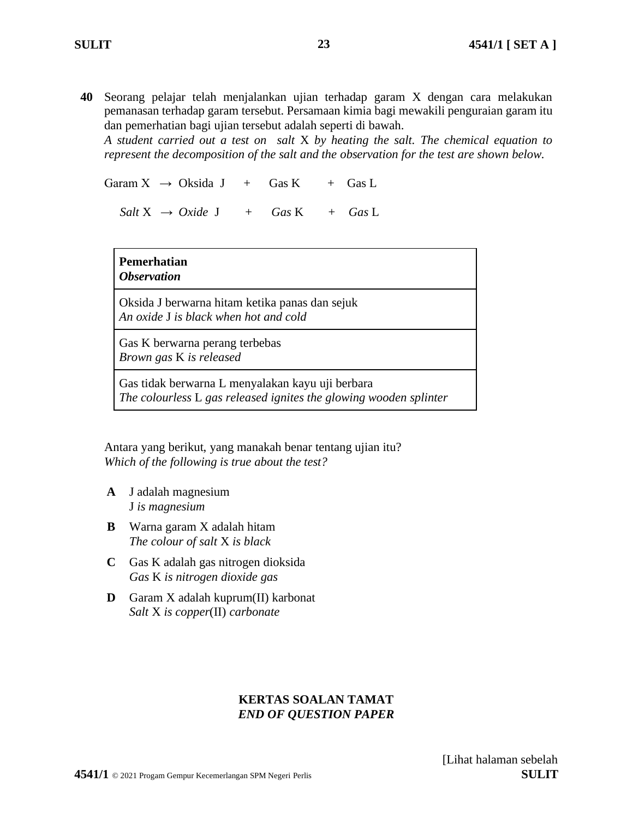**40** Seorang pelajar telah menjalankan ujian terhadap garam X dengan cara melakukan pemanasan terhadap garam tersebut. Persamaan kimia bagi mewakili penguraian garam itu dan pemerhatian bagi ujian tersebut adalah seperti di bawah.

*A student carried out a test on salt* X *by heating the salt. The chemical equation to represent the decomposition of the salt and the observation for the test are shown below.*

Garam  $X \rightarrow Oksida J + Gas K + Gas L$ 

 $Salt X \rightarrow Oxide J + Gas K + Gas L$ 

### **Pemerhatian** *Observation*

Oksida J berwarna hitam ketika panas dan sejuk *An oxide* J *is black when hot and cold*

Gas K berwarna perang terbebas *Brown gas* K *is released* 

Gas tidak berwarna L menyalakan kayu uji berbara *The colourless* L *gas released ignites the glowing wooden splinter*

Antara yang berikut, yang manakah benar tentang ujian itu? *Which of the following is true about the test?*

- **A** J adalah magnesium J *is magnesium*
- **B** Warna garam X adalah hitam *The colour of salt* X *is black*
- **C** Gas K adalah gas nitrogen dioksida *Gas* K *is nitrogen dioxide gas*
- **D** Garam X adalah kuprum(II) karbonat *Salt* X *is copper*(II) *carbonate*

# **KERTAS SOALAN TAMAT** *END OF QUESTION PAPER*